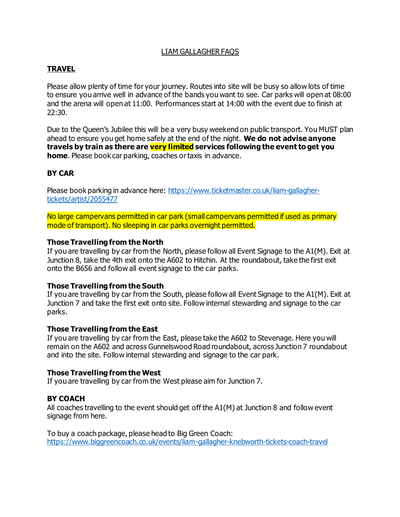### LIAM GALLAGHER FAQS

## **TRAVEL**

Please allow plenty of time for your journey. Routes into site will be busy so allow lots of time to ensure you arrive well in advance of the bands you want to see. Car parks will open at 08:00 and the arena will open at 11:00. Performances start at 14:00 with the event due to finish at 22:30.

Due to the Queen's Jubilee this will be a very busy weekend on public transport. You MUST plan ahead to ensure you get home safely at the end of the night. **We do not advise anyone travels by train as there are very limited services following the event to get you home**. Please book car parking, coaches or taxis in advance.

### **BY CAR**

Please book parking in advance here: https://www.ticketmaster.co.uk/liam-gallaghertickets/artist/2055477

No large campervans permitted in car park (small campervans permitted if used as primary mode of transport). No sleeping in car parks overnight permitted.

### **Those Travelling from the North**

If you are travelling by car from the North, please follow all Event Signage to the A1(M). Exit at Junction 8, take the 4th exit onto the A602 to Hitchin. At the roundabout, take the first exit onto the B656 and follow all event signage to the car parks.

### **Those Travelling from the South**

If you are travelling by car from the South, please follow all Event Signage to the A1(M). Exit at Junction 7 and take the first exit onto site. Follow internal stewarding and signage to the car parks.

### **Those Travelling from the East**

If you are travelling by car from the East, please take the A602 to Stevenage. Here you will remain on the A602 and across Gunnelswood Road roundabout, across Junction 7 roundabout and into the site. Follow internal stewarding and signage to the car park.

### **Those Travelling from the West**

If you are travelling by car from the West please aim for Junction 7.

## **BY COACH**

All coaches travelling to the event should get off the A1(M) at Junction 8 and follow event signage from here.

To buy a coach package, please head to Big Green Coach: https://www.biggreencoach.co.uk/events/liam-gallagher-knebworth-tickets-coach-travel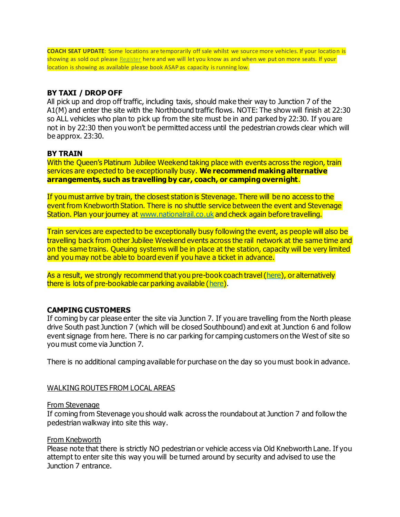**COACH SEAT UPDATE**: Some locations are temporarily off sale whilst we source more vehicles. If your location is showing as sold out please Register here and we will let you know as and when we put on more seats. If your location is showing as available please book ASAP as capacity is running low.

### **BY TAXI / DROP OFF**

All pick up and drop off traffic, including taxis, should make their way to Junction 7 of the A1(M) and enter the site with the Northbound traffic flows. NOTE: The show will finish at 22:30 so ALL vehicles who plan to pick up from the site must be in and parked by 22:30. If you are not in by 22:30 then you won't be permitted access until the pedestrian crowds clear which will be approx. 23:30.

### **BY TRAIN**

With the Oueen's Platinum Jubilee Weekend taking place with events across the region, train services are expected to be exceptionally busy. **We recommend making alternative arrangements, such as travelling by car, coach, or camping overnight**.

If you must arrive by train, the closest station is Stevenage. There will be no access to the event from Knebworth Station. There is no shuttle service between the event and Stevenage Station. Plan your journey at www.nationalrail.co.uk and check again before travelling.

Train services are expected to be exceptionally busy following the event, as people will also be travelling back from other Jubilee Weekend events across the rail network at the same time and on the same trains. Queuing systems will be in place at the station, capacity will be very limited and you may not be able to board even if you have a ticket in advance.

As a result, we strongly recommend that you pre-book coach travel (here), or alternatively there is lots of pre-bookable car parking available (here).

### **CAMPING CUSTOMERS**

If coming by car please enter the site via Junction 7. If you are travelling from the North please drive South past Junction 7 (which will be closed Southbound) and exit at Junction 6 and follow event signage from here. There is no car parking for camping customers on the West of site so you must come via Junction 7.

There is no additional camping available for purchase on the day so you must book in advance.

### WALKING ROUTES FROM LOCAL AREAS

#### From Stevenage

If coming from Stevenage you should walk across the roundabout at Junction 7 and follow the pedestrian walkway into site this way.

### From Knebworth

Please note that there is strictly NO pedestrian or vehicle access via Old Knebworth Lane. If you attempt to enter site this way you will be turned around by security and advised to use the Junction 7 entrance.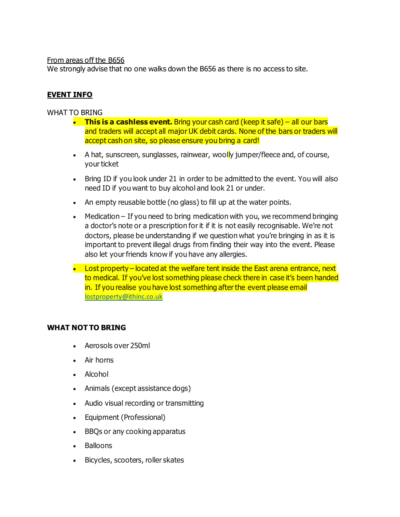### From areas off the B656

We strongly advise that no one walks down the B656 as there is no access to site.

## **EVENT INFO**

WHAT TO BRING

- **This is a cashless event.** Bring your cash card (keep it safe) all our bars and traders will accept all major UK debit cards. None of the bars or traders will accept cash on site, so please ensure you bring a card!
- A hat, sunscreen, sunglasses, rainwear, woolly jumper/fleece and, of course, your ticket
- Bring ID if you look under 21 in order to be admitted to the event. You will also need ID if you want to buy alcohol and look 21 or under.
- An empty reusable bottle (no glass) to fill up at the water points.
- Medication If you need to bring medication with you, we recommend bringing a doctor's note or a prescription for it if it is not easily recognisable. We're not doctors, please be understanding if we question what you're bringing in as it is important to prevent illegal drugs from finding their way into the event. Please also let your friends know if you have any allergies.
- Lost property located at the welfare tent inside the East arena entrance, next to medical. If you've lost something please check there in case it's been handed in. If you realise you have lost something after the event please email lostproperty@ithinc.co.uk

## **WHAT NOT TO BRING**

- Aerosols over 250ml
- Air horns
- Alcohol
- Animals (except assistance dogs)
- Audio visual recording or transmitting
- Equipment (Professional)
- BBQs or any cooking apparatus
- Balloons
- Bicycles, scooters, roller skates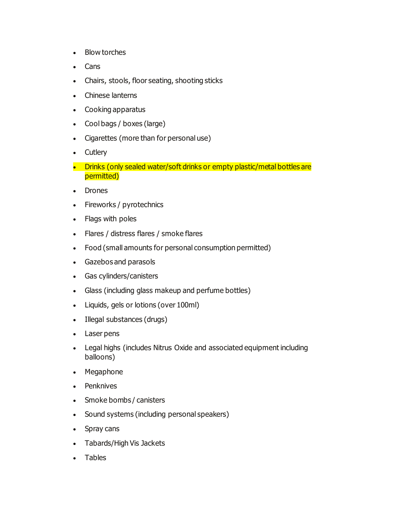- Blow torches
- Cans
- Chairs, stools, floor seating, shooting sticks
- Chinese lanterns
- Cooking apparatus
- Cool bags / boxes (large)
- Cigarettes (more than for personal use)
- Cutlery
- Drinks (only sealed water/soft drinks or empty plastic/metal bottles are permitted)
- Drones
- Fireworks / pyrotechnics
- Flags with poles
- Flares / distress flares / smoke flares
- Food (small amounts for personal consumption permitted)
- Gazebos and parasols
- Gas cylinders/canisters
- Glass (including glass makeup and perfume bottles)
- Liquids, gels or lotions (over 100ml)
- Illegal substances (drugs)
- Laser pens
- Legal highs (includes Nitrus Oxide and associated equipment including balloons)
- Megaphone
- Penknives
- Smoke bombs / canisters
- Sound systems (including personal speakers)
- Spray cans
- Tabards/High Vis Jackets
- **Tables**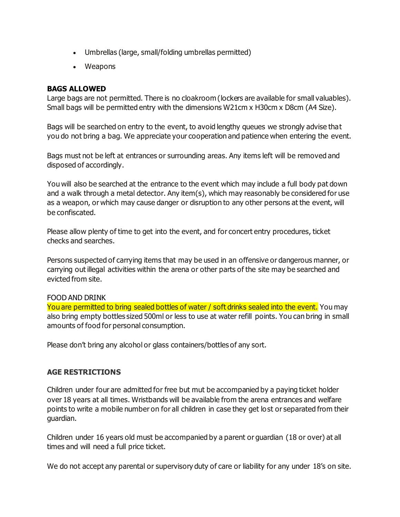- Umbrellas (large, small/folding umbrellas permitted)
- Weapons

## **BAGS ALLOWED**

Large bags are not permitted. There is no cloakroom (lockers are available for small valuables). Small bags will be permitted entry with the dimensions W21cm x H30cm x D8cm (A4 Size).

Bags will be searched on entry to the event, to avoid lengthy queues we strongly advise that you do not bring a bag. We appreciate your cooperation and patience when entering the event.

Bags must not be left at entrances or surrounding areas. Any items left will be removed and disposed of accordingly.

You will also be searched at the entrance to the event which may include a full body pat down and a walk through a metal detector. Any item(s), which may reasonably be considered for use as a weapon, or which may cause danger or disruption to any other persons at the event, will be confiscated.

Please allow plenty of time to get into the event, and for concert entry procedures, ticket checks and searches.

Persons suspected of carrying items that may be used in an offensive or dangerous manner, or carrying out illegal activities within the arena or other parts of the site may be searched and evicted from site.

## FOOD AND DRINK

You are permitted to bring sealed bottles of water / soft drinks sealed into the event. You may also bring empty bottles sized 500ml or less to use at water refill points. You can bring in small amounts of food for personal consumption.

Please don't bring any alcohol or glass containers/bottles of any sort.

# **AGE RESTRICTIONS**

Children under four are admitted for free but mut be accompanied by a paying ticket holder over 18 years at all times. Wristbands will be available from the arena entrances and welfare points to write a mobile number on for all children in case they get lost or separated from their guardian.

Children under 16 years old must be accompanied by a parent or guardian (18 or over) at all times and will need a full price ticket.

We do not accept any parental or supervisory duty of care or liability for any under 18's on site.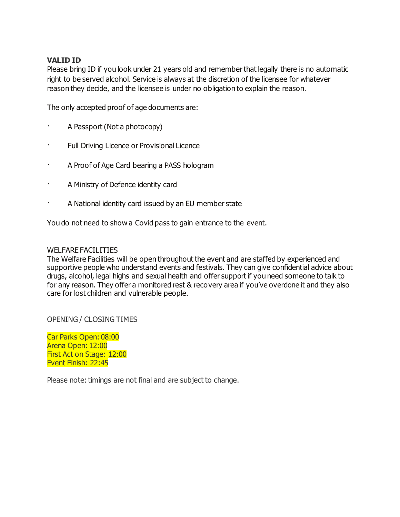## **VALID ID**

Please bring ID if you look under 21 years old and remember that legally there is no automatic right to be served alcohol. Service is always at the discretion of the licensee for whatever reason they decide, and the licensee is under no obligation to explain the reason.

The only accepted proof of age documents are:

- · A Passport (Not a photocopy)
- Full Driving Licence or Provisional Licence
- · A Proof of Age Card bearing a PASS hologram
- · A Ministry of Defence identity card
- A National identity card issued by an EU member state

You do not need to show a Covid pass to gain entrance to the event.

### WELFARE FACILITIES

The Welfare Facilities will be open throughout the event and are staffed by experienced and supportive people who understand events and festivals. They can give confidential advice about drugs, alcohol, legal highs and sexual health and offer support if you need someone to talk to for any reason. They offer a monitored rest & recovery area if you've overdone it and they also care for lost children and vulnerable people.

OPENING / CLOSING TIMES

Car Parks Open: 08:00 Arena Open: 12:00 First Act on Stage: 12:00 Event Finish: 22:45

Please note: timings are not final and are subject to change.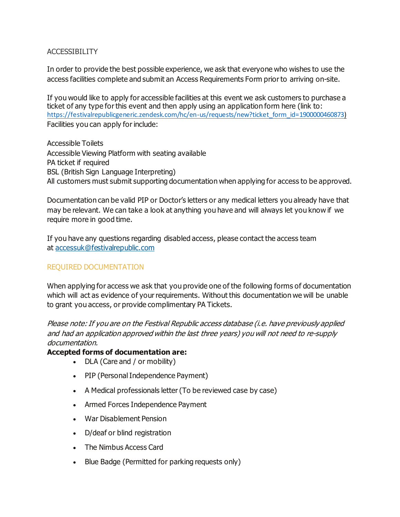## ACCESSIBILITY

In order to provide the best possible experience, we ask that everyone who wishes to use the access facilities complete and submit an Access Requirements Form prior to arriving on-site.

If you would like to apply for accessible facilities at this event we ask customers to purchase a ticket of any type for this event and then apply using an application form here (link to: https://festivalrepublicgeneric.zendesk.com/hc/en-us/requests/new?ticket\_form\_id=1900000460873) Facilities you can apply for include:

Accessible Toilets Accessible Viewing Platform with seating available PA ticket if required BSL (British Sign Language Interpreting) All customers must submit supporting documentation when applying for access to be approved.

Documentation can be valid PIP or Doctor's letters or any medical letters you already have that may be relevant. We can take a look at anything you have and will always let you know if we require more in good time.

If you have any questions regarding disabled access, please contact the access team at accessuk@festivalrepublic.com

# REQUIRED DOCUMENTATION

When applying for access we ask that you provide one of the following forms of documentation which will act as evidence of your requirements. Without this documentation we will be unable to grant you access, or provide complimentary PA Tickets.

Please note: If you are on the Festival Republic access database (i.e. have previously applied and had an application approved within the last three years) you will not need to re-supply documentation.

## **Accepted forms of documentation are:**

- DLA (Care and / or mobility)
- PIP (Personal Independence Payment)
- A Medical professionals letter (To be reviewed case by case)
- Armed Forces Independence Payment
- War Disablement Pension
- D/deaf or blind registration
- The Nimbus Access Card
- Blue Badge (Permitted for parking requests only)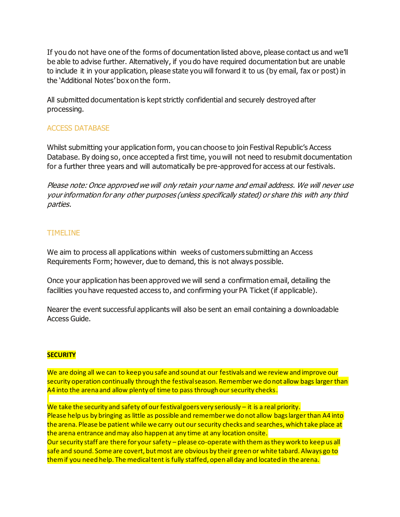If you do not have one of the forms of documentation listed above, please contact us and we'll be able to advise further. Alternatively, if you do have required documentation but are unable to include it in your application, please state you will forward it to us (by email, fax or post) in the 'Additional Notes' box on the form.

All submitted documentation is kept strictly confidential and securely destroyed after processing.

## ACCESS DATABASE

Whilst submitting your application form, you can choose to join Festival Republic's Access Database. By doing so, once accepted a first time, you will not need to resubmit documentation for a further three years and will automatically be pre-approved for access at our festivals.

Please note: Once approved we will only retain your name and email address. We will never use yourinformation for any other purposes (unless specifically stated) or share this with any third parties.

## TIMELINE

We aim to process all applications within weeks of customers submitting an Access Requirements Form; however, due to demand, this is not always possible.

Once your application has been approved we will send a confirmation email, detailing the facilities you have requested access to, and confirming your PA Ticket (if applicable).

Nearer the event successful applicants will also be sent an email containing a downloadable Access Guide.

### **SECURITY**

We are doing all we can to keep you safe and sound at our festivals and we review and improve our security operation continually through the festival season. Remember we do not allow bags larger than A4 into the arena and allow plenty of time to pass through our security checks.

We take the security and safety of our festival goers very seriously - it is a real priority. Please help us by bringing as little as possible and remember we do not allow bags larger than A4 into the arena. Please be patient while we carry out our security checks and searches, which take place at the arena entrance and may also happen at any time at any location onsite. Our security staff are there for your safety – please co-operate with them as they work to keep us all safe and sound. Some are covert, but most are obvious by their green or white tabard. Always go to them if you need help. The medical tent is fully staffed, open all day and located in the arena.